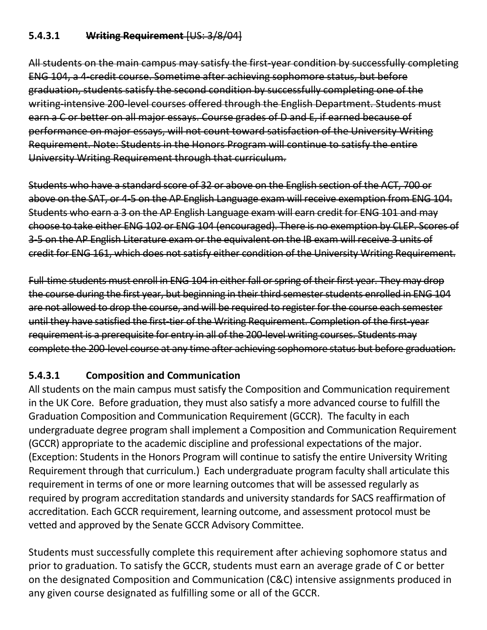#### **5.4.3.1 Writing Requirement** [US: 3/8/04]

All students on the main campus may satisfy the first-year condition by successfully completing ENG 104, a 4-credit course. Sometime after achieving sophomore status, but before graduation, students satisfy the second condition by successfully completing one of the writing-intensive 200-level courses offered through the English Department. Students must earn a C or better on all major essays. Course grades of D and E, if earned because of performance on major essays, will not count toward satisfaction of the University Writing Requirement. Note: Students in the Honors Program will continue to satisfy the entire University Writing Requirement through that curriculum.

Students who have a standard score of 32 or above on the English section of the ACT, 700 or above on the SAT, or 4-5 on the AP English Language exam will receive exemption from ENG 104. Students who earn a 3 on the AP English Language exam will earn credit for ENG 101 and may choose to take either ENG 102 or ENG 104 (encouraged). There is no exemption by CLEP. Scores of 3-5 on the AP English Literature exam or the equivalent on the IB exam will receive 3 units of credit for ENG 161, which does not satisfy either condition of the University Writing Requirement.

Full-time students must enroll in ENG 104 in either fall or spring of their first year. They may drop the course during the first year, but beginning in their third semester students enrolled in ENG 104 are not allowed to drop the course, and will be required to register for the course each semester until they have satisfied the first-tier of the Writing Requirement. Completion of the first-year requirement is a prerequisite for entry in all of the 200-level writing courses. Students may complete the 200-level course at any time after achieving sophomore status but before graduation.

# **5.4.3.1 Composition and Communication**

All students on the main campus must satisfy the Composition and Communication requirement in the UK Core. Before graduation, they must also satisfy a more advanced course to fulfill the Graduation Composition and Communication Requirement (GCCR). The faculty in each undergraduate degree program shall implement a Composition and Communication Requirement (GCCR) appropriate to the academic discipline and professional expectations of the major. (Exception: Students in the Honors Program will continue to satisfy the entire University Writing Requirement through that curriculum.) Each undergraduate program faculty shall articulate this requirement in terms of one or more learning outcomes that will be assessed regularly as required by program accreditation standards and university standards for SACS reaffirmation of accreditation. Each GCCR requirement, learning outcome, and assessment protocol must be vetted and approved by the Senate GCCR Advisory Committee.

Students must successfully complete this requirement after achieving sophomore status and prior to graduation. To satisfy the GCCR, students must earn an average grade of C or better on the designated Composition and Communication (C&C) intensive assignments produced in any given course designated as fulfilling some or all of the GCCR.